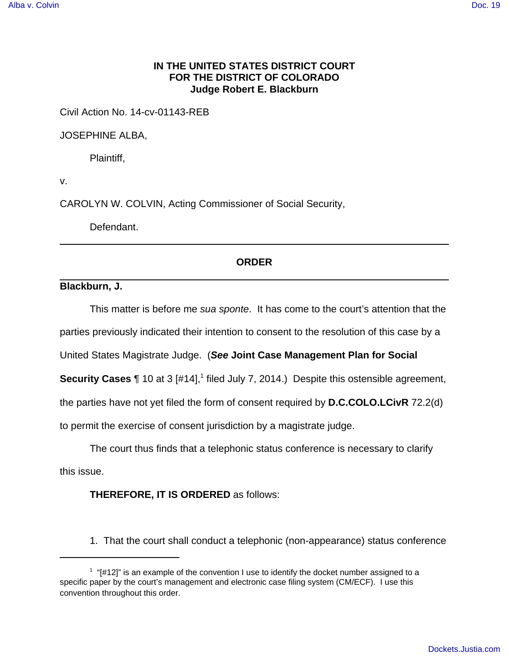## **IN THE UNITED STATES DISTRICT COURT FOR THE DISTRICT OF COLORADO Judge Robert E. Blackburn**

Civil Action No. 14-cv-01143-REB

JOSEPHINE ALBA,

Plaintiff,

v.

CAROLYN W. COLVIN, Acting Commissioner of Social Security,

Defendant.

## **ORDER**

**Blackburn, J.**

This matter is before me sua sponte. It has come to the court's attention that the

parties previously indicated their intention to consent to the resolution of this case by a

United States Magistrate Judge. (**See Joint Case Management Plan for Social**

**Security Cases** 1 10 at 3 [#14],<sup>1</sup> filed July 7, 2014.) Despite this ostensible agreement,

the parties have not yet filed the form of consent required by **D.C.COLO.LCivR** 72.2(d)

to permit the exercise of consent jurisdiction by a magistrate judge.

The court thus finds that a telephonic status conference is necessary to clarify this issue.

**THEREFORE, IT IS ORDERED** as follows:

1. That the court shall conduct a telephonic (non-appearance) status conference

 $1$  "[#12]" is an example of the convention I use to identify the docket number assigned to a specific paper by the court's management and electronic case filing system (CM/ECF). I use this convention throughout this order.